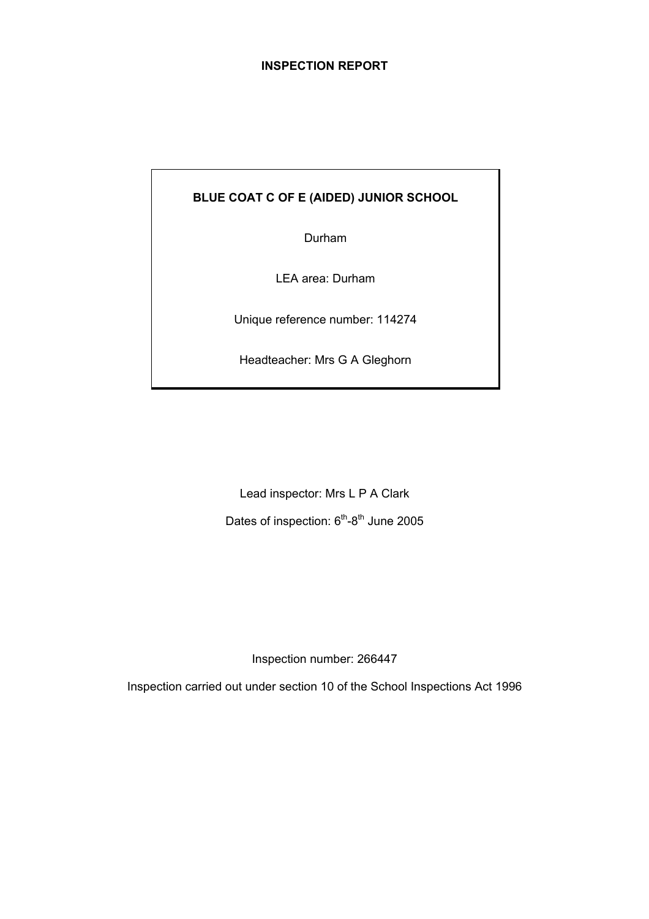## **INSPECTION REPORT**

## **BLUE COAT C OF E (AIDED) JUNIOR SCHOOL**

Durham

LEA area: Durham

Unique reference number: 114274

Headteacher: Mrs G A Gleghorn

Lead inspector: Mrs L P A Clark Dates of inspection:  $6<sup>th</sup>-8<sup>th</sup>$  June 2005

Inspection number: 266447

Inspection carried out under section 10 of the School Inspections Act 1996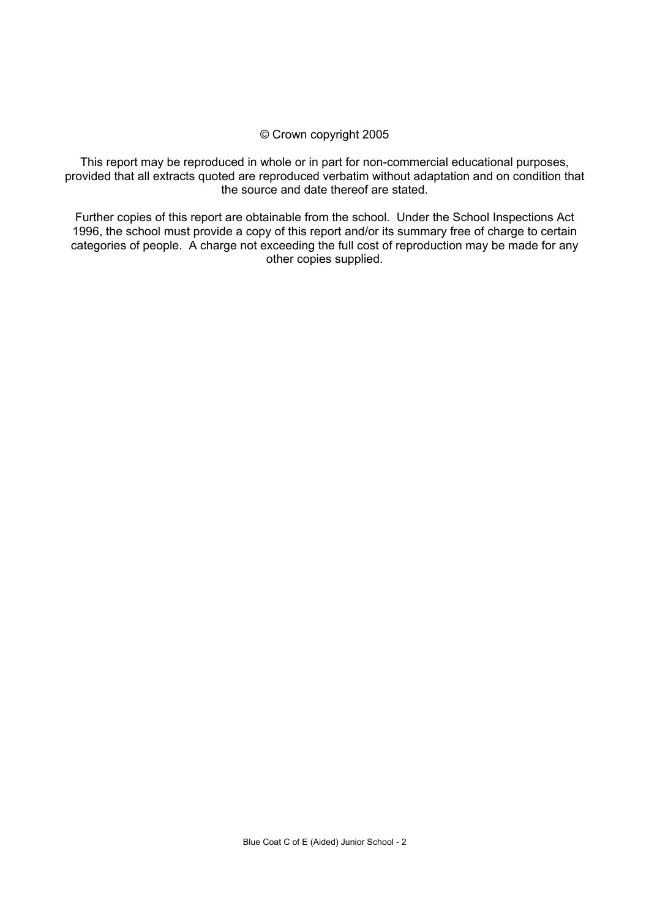#### © Crown copyright 2005

This report may be reproduced in whole or in part for non-commercial educational purposes, provided that all extracts quoted are reproduced verbatim without adaptation and on condition that the source and date thereof are stated.

Further copies of this report are obtainable from the school. Under the School Inspections Act 1996, the school must provide a copy of this report and/or its summary free of charge to certain categories of people. A charge not exceeding the full cost of reproduction may be made for any other copies supplied.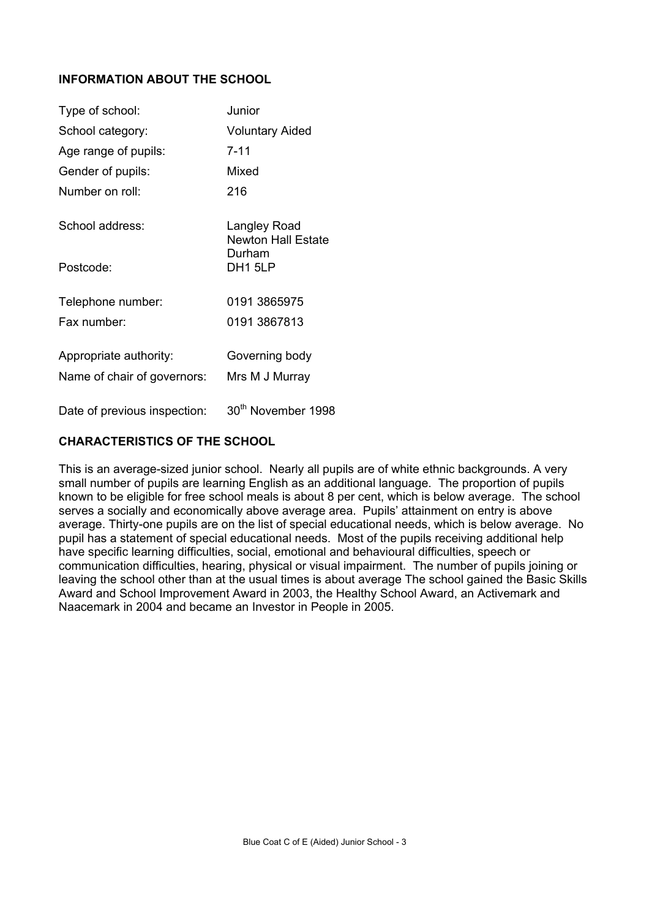# **INFORMATION ABOUT THE SCHOOL**

| Type of school:                                       | Junior                                    |
|-------------------------------------------------------|-------------------------------------------|
| School category:                                      | <b>Voluntary Aided</b>                    |
| Age range of pupils:                                  | 7-11                                      |
| Gender of pupils:                                     | Mixed                                     |
| Number on roll:                                       | 216                                       |
| School address:                                       | Langley Road<br><b>Newton Hall Estate</b> |
| Postcode:                                             | Durham<br>DH1 5LP                         |
| Telephone number:<br>Fax number:                      | 0191 3865975<br>0191 3867813              |
| Appropriate authority:<br>Name of chair of governors: | Governing body<br>Mrs M J Murray          |

Date of previous inspection: 30<sup>th</sup> November 1998

# **CHARACTERISTICS OF THE SCHOOL**

This is an average-sized junior school. Nearly all pupils are of white ethnic backgrounds. A very small number of pupils are learning English as an additional language. The proportion of pupils known to be eligible for free school meals is about 8 per cent, which is below average. The school serves a socially and economically above average area. Pupils' attainment on entry is above average. Thirty-one pupils are on the list of special educational needs, which is below average. No pupil has a statement of special educational needs. Most of the pupils receiving additional help have specific learning difficulties, social, emotional and behavioural difficulties, speech or communication difficulties, hearing, physical or visual impairment. The number of pupils joining or leaving the school other than at the usual times is about average The school gained the Basic Skills Award and School Improvement Award in 2003, the Healthy School Award, an Activemark and Naacemark in 2004 and became an Investor in People in 2005.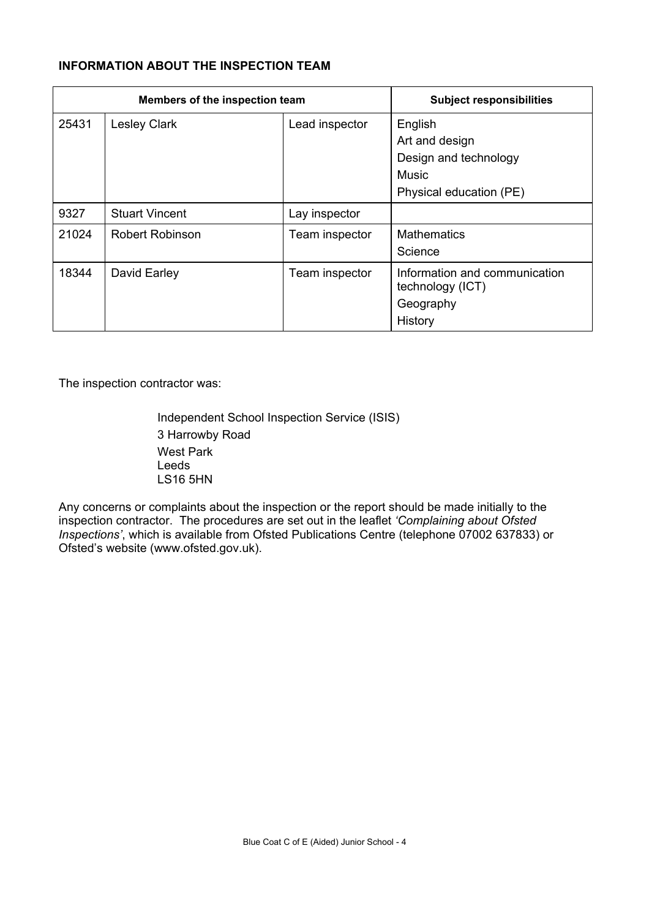# **INFORMATION ABOUT THE INSPECTION TEAM**

| Members of the inspection team |                        |                | <b>Subject responsibilities</b>                                           |
|--------------------------------|------------------------|----------------|---------------------------------------------------------------------------|
| 25431                          | <b>Lesley Clark</b>    | Lead inspector | English<br>Art and design<br>Design and technology<br><b>Music</b>        |
|                                |                        |                | Physical education (PE)                                                   |
| 9327                           | <b>Stuart Vincent</b>  | Lay inspector  |                                                                           |
| 21024                          | <b>Robert Robinson</b> | Team inspector | <b>Mathematics</b><br>Science                                             |
| 18344                          | David Earley           | Team inspector | Information and communication<br>technology (ICT)<br>Geography<br>History |

The inspection contractor was:

 Independent School Inspection Service (ISIS) 3 Harrowby Road West Park Leeds LS16 5HN

Any concerns or complaints about the inspection or the report should be made initially to the inspection contractor. The procedures are set out in the leaflet *'Complaining about Ofsted Inspections'*, which is available from Ofsted Publications Centre (telephone 07002 637833) or Ofsted's website (www.ofsted.gov.uk).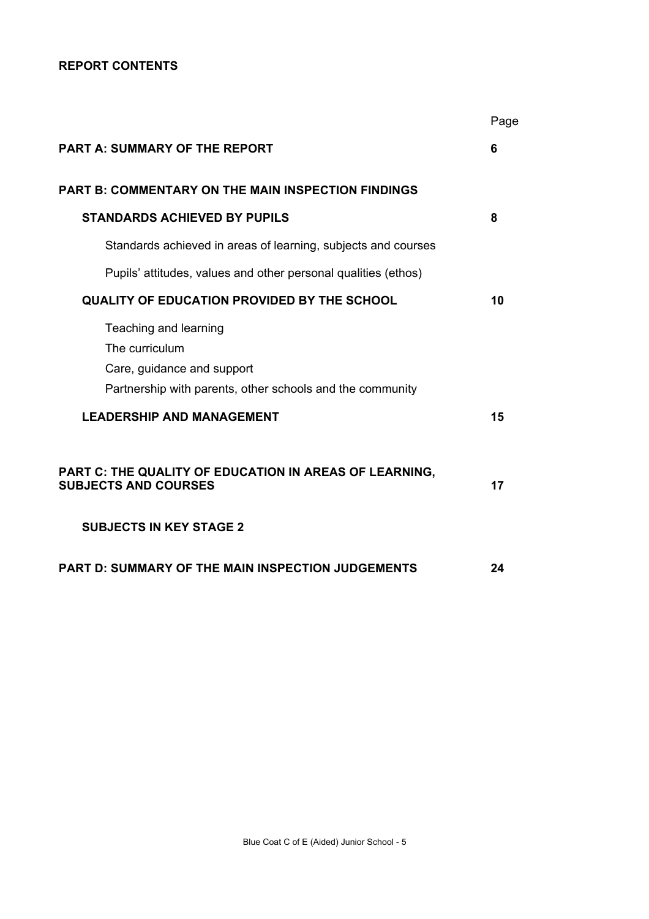## **REPORT CONTENTS**

|                                                                                                                                    | Page |
|------------------------------------------------------------------------------------------------------------------------------------|------|
| <b>PART A: SUMMARY OF THE REPORT</b>                                                                                               | 6    |
| PART B: COMMENTARY ON THE MAIN INSPECTION FINDINGS                                                                                 |      |
| <b>STANDARDS ACHIEVED BY PUPILS</b>                                                                                                | 8    |
| Standards achieved in areas of learning, subjects and courses                                                                      |      |
| Pupils' attitudes, values and other personal qualities (ethos)                                                                     |      |
| <b>QUALITY OF EDUCATION PROVIDED BY THE SCHOOL</b>                                                                                 | 10   |
| Teaching and learning<br>The curriculum<br>Care, guidance and support<br>Partnership with parents, other schools and the community |      |
| <b>LEADERSHIP AND MANAGEMENT</b>                                                                                                   | 15   |
| PART C: THE QUALITY OF EDUCATION IN AREAS OF LEARNING,<br><b>SUBJECTS AND COURSES</b><br><b>SUBJECTS IN KEY STAGE 2</b>            | 17   |
| PART D: SUMMARY OF THE MAIN INSPECTION JUDGEMENTS                                                                                  | 24   |
|                                                                                                                                    |      |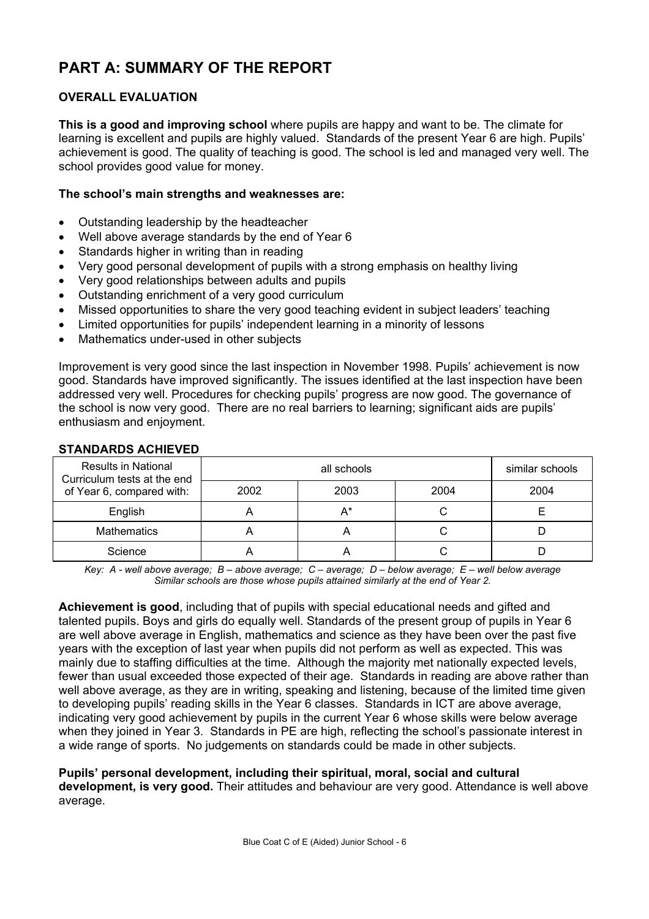# **PART A: SUMMARY OF THE REPORT**

# **OVERALL EVALUATION**

**This is a good and improving school** where pupils are happy and want to be. The climate for learning is excellent and pupils are highly valued. Standards of the present Year 6 are high. Pupils' achievement is good. The quality of teaching is good. The school is led and managed very well. The school provides good value for money.

## **The school's main strengths and weaknesses are:**

- Outstanding leadership by the headteacher
- Well above average standards by the end of Year 6
- Standards higher in writing than in reading
- Very good personal development of pupils with a strong emphasis on healthy living
- Very good relationships between adults and pupils
- Outstanding enrichment of a very good curriculum
- Missed opportunities to share the very good teaching evident in subject leaders' teaching
- Limited opportunities for pupils' independent learning in a minority of lessons
- Mathematics under-used in other subjects

Improvement is very good since the last inspection in November 1998. Pupils' achievement is now good. Standards have improved significantly. The issues identified at the last inspection have been addressed very well. Procedures for checking pupils' progress are now good. The governance of the school is now very good. There are no real barriers to learning; significant aids are pupils' enthusiasm and enjoyment.

| <b>Results in National</b><br>Curriculum tests at the end |      | similar schools |      |      |
|-----------------------------------------------------------|------|-----------------|------|------|
| of Year 6, compared with:                                 | 2002 | 2003            | 2004 | 2004 |
| English                                                   |      | A*              |      |      |
| <b>Mathematics</b>                                        |      |                 |      |      |
| Science                                                   |      |                 |      |      |

## **STANDARDS ACHIEVED**

*Key: A - well above average; B – above average; C – average; D – below average; E – well below average Similar schools are those whose pupils attained similarly at the end of Year 2.* 

**Achievement is good**, including that of pupils with special educational needs and gifted and talented pupils. Boys and girls do equally well. Standards of the present group of pupils in Year 6 are well above average in English, mathematics and science as they have been over the past five years with the exception of last year when pupils did not perform as well as expected. This was mainly due to staffing difficulties at the time. Although the majority met nationally expected levels, fewer than usual exceeded those expected of their age. Standards in reading are above rather than well above average, as they are in writing, speaking and listening, because of the limited time given to developing pupils' reading skills in the Year 6 classes. Standards in ICT are above average, indicating very good achievement by pupils in the current Year 6 whose skills were below average when they joined in Year 3. Standards in PE are high, reflecting the school's passionate interest in a wide range of sports. No judgements on standards could be made in other subjects.

#### **Pupils' personal development, including their spiritual, moral, social and cultural development, is very good.** Their attitudes and behaviour are very good. Attendance is well above average.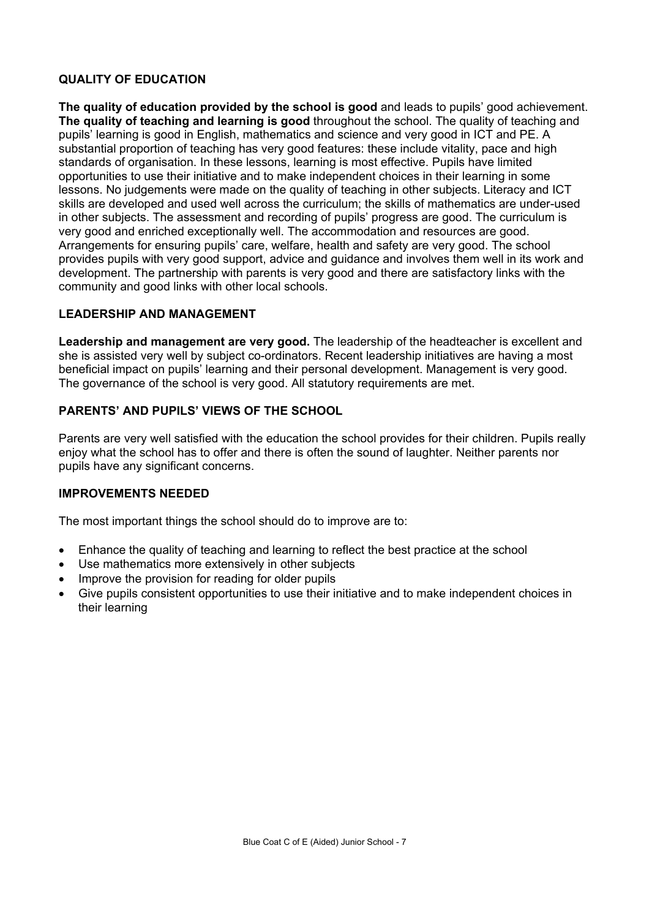## **QUALITY OF EDUCATION**

**The quality of education provided by the school is good** and leads to pupils' good achievement. **The quality of teaching and learning is good** throughout the school. The quality of teaching and pupils' learning is good in English, mathematics and science and very good in ICT and PE. A substantial proportion of teaching has very good features: these include vitality, pace and high standards of organisation. In these lessons, learning is most effective. Pupils have limited opportunities to use their initiative and to make independent choices in their learning in some lessons. No judgements were made on the quality of teaching in other subjects. Literacy and ICT skills are developed and used well across the curriculum; the skills of mathematics are under-used in other subjects. The assessment and recording of pupils' progress are good. The curriculum is very good and enriched exceptionally well. The accommodation and resources are good. Arrangements for ensuring pupils' care, welfare, health and safety are very good. The school provides pupils with very good support, advice and guidance and involves them well in its work and development. The partnership with parents is very good and there are satisfactory links with the community and good links with other local schools.

#### **LEADERSHIP AND MANAGEMENT**

**Leadership and management are very good.** The leadership of the headteacher is excellent and she is assisted very well by subject co-ordinators. Recent leadership initiatives are having a most beneficial impact on pupils' learning and their personal development. Management is very good. The governance of the school is very good. All statutory requirements are met.

## **PARENTS' AND PUPILS' VIEWS OF THE SCHOOL**

Parents are very well satisfied with the education the school provides for their children. Pupils really enjoy what the school has to offer and there is often the sound of laughter. Neither parents nor pupils have any significant concerns.

#### **IMPROVEMENTS NEEDED**

The most important things the school should do to improve are to:

- Enhance the quality of teaching and learning to reflect the best practice at the school
- Use mathematics more extensively in other subjects
- Improve the provision for reading for older pupils
- Give pupils consistent opportunities to use their initiative and to make independent choices in their learning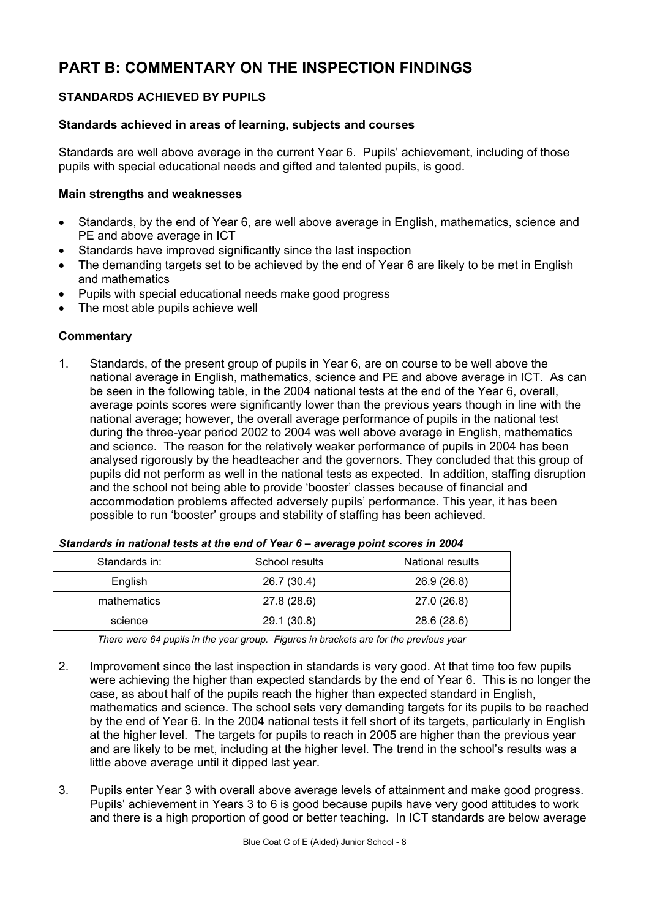# **PART B: COMMENTARY ON THE INSPECTION FINDINGS**

# **STANDARDS ACHIEVED BY PUPILS**

#### **Standards achieved in areas of learning, subjects and courses**

Standards are well above average in the current Year 6. Pupils' achievement, including of those pupils with special educational needs and gifted and talented pupils, is good.

#### **Main strengths and weaknesses**

- Standards, by the end of Year 6, are well above average in English, mathematics, science and PE and above average in ICT
- Standards have improved significantly since the last inspection
- The demanding targets set to be achieved by the end of Year 6 are likely to be met in English and mathematics
- Pupils with special educational needs make good progress
- The most able pupils achieve well

## **Commentary**

1. Standards, of the present group of pupils in Year 6, are on course to be well above the national average in English, mathematics, science and PE and above average in ICT. As can be seen in the following table, in the 2004 national tests at the end of the Year 6, overall, average points scores were significantly lower than the previous years though in line with the national average; however, the overall average performance of pupils in the national test during the three-year period 2002 to 2004 was well above average in English, mathematics and science. The reason for the relatively weaker performance of pupils in 2004 has been analysed rigorously by the headteacher and the governors. They concluded that this group of pupils did not perform as well in the national tests as expected. In addition, staffing disruption and the school not being able to provide 'booster' classes because of financial and accommodation problems affected adversely pupils' performance. This year, it has been possible to run 'booster' groups and stability of staffing has been achieved.

| Standards in: | School results | National results |
|---------------|----------------|------------------|
| English       | 26.7 (30.4)    | 26.9 (26.8)      |
| mathematics   | 27.8 (28.6)    | 27.0 (26.8)      |
| science       | 29.1 (30.8)    | 28.6 (28.6)      |

| Standards in national tests at the end of Year 6 - average point scores in 2004 |  |
|---------------------------------------------------------------------------------|--|
|---------------------------------------------------------------------------------|--|

*There were 64 pupils in the year group. Figures in brackets are for the previous year*

- 2. Improvement since the last inspection in standards is very good. At that time too few pupils were achieving the higher than expected standards by the end of Year 6. This is no longer the case, as about half of the pupils reach the higher than expected standard in English, mathematics and science. The school sets very demanding targets for its pupils to be reached by the end of Year 6. In the 2004 national tests it fell short of its targets, particularly in English at the higher level. The targets for pupils to reach in 2005 are higher than the previous year and are likely to be met, including at the higher level. The trend in the school's results was a little above average until it dipped last year.
- 3. Pupils enter Year 3 with overall above average levels of attainment and make good progress. Pupils' achievement in Years 3 to 6 is good because pupils have very good attitudes to work and there is a high proportion of good or better teaching. In ICT standards are below average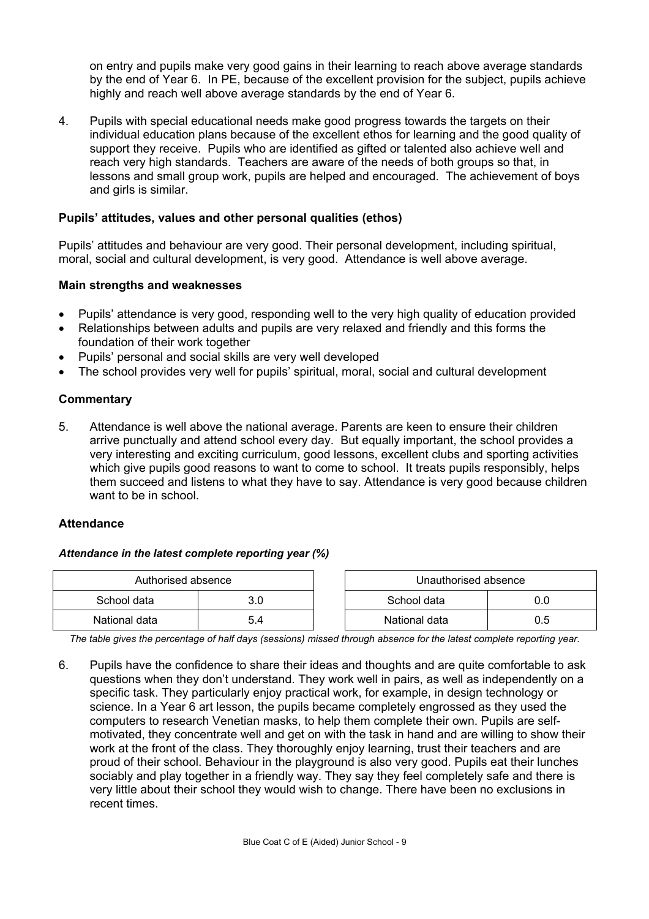on entry and pupils make very good gains in their learning to reach above average standards by the end of Year 6. In PE, because of the excellent provision for the subject, pupils achieve highly and reach well above average standards by the end of Year 6.

4. Pupils with special educational needs make good progress towards the targets on their individual education plans because of the excellent ethos for learning and the good quality of support they receive. Pupils who are identified as gifted or talented also achieve well and reach very high standards. Teachers are aware of the needs of both groups so that, in lessons and small group work, pupils are helped and encouraged. The achievement of boys and girls is similar.

## **Pupils' attitudes, values and other personal qualities (ethos)**

Pupils' attitudes and behaviour are very good. Their personal development, including spiritual, moral, social and cultural development, is very good. Attendance is well above average.

#### **Main strengths and weaknesses**

- Pupils' attendance is very good, responding well to the very high quality of education provided
- Relationships between adults and pupils are very relaxed and friendly and this forms the foundation of their work together
- Pupils' personal and social skills are very well developed
- The school provides very well for pupils' spiritual, moral, social and cultural development

## **Commentary**

5. Attendance is well above the national average. Parents are keen to ensure their children arrive punctually and attend school every day. But equally important, the school provides a very interesting and exciting curriculum, good lessons, excellent clubs and sporting activities which give pupils good reasons to want to come to school. It treats pupils responsibly, helps them succeed and listens to what they have to say. Attendance is very good because children want to be in school.

#### **Attendance**

#### *Attendance in the latest complete reporting year (%)*

| Authorised absence |     |             | Unauthorised absence |     |
|--------------------|-----|-------------|----------------------|-----|
| School data        |     | School data |                      | 0.0 |
| National data      | 5.4 |             | National data        | 0.5 |

*The table gives the percentage of half days (sessions) missed through absence for the latest complete reporting year.*

6. Pupils have the confidence to share their ideas and thoughts and are quite comfortable to ask questions when they don't understand. They work well in pairs, as well as independently on a specific task. They particularly enjoy practical work, for example, in design technology or science. In a Year 6 art lesson, the pupils became completely engrossed as they used the computers to research Venetian masks, to help them complete their own. Pupils are selfmotivated, they concentrate well and get on with the task in hand and are willing to show their work at the front of the class. They thoroughly enjoy learning, trust their teachers and are proud of their school. Behaviour in the playground is also very good. Pupils eat their lunches sociably and play together in a friendly way. They say they feel completely safe and there is very little about their school they would wish to change. There have been no exclusions in recent times.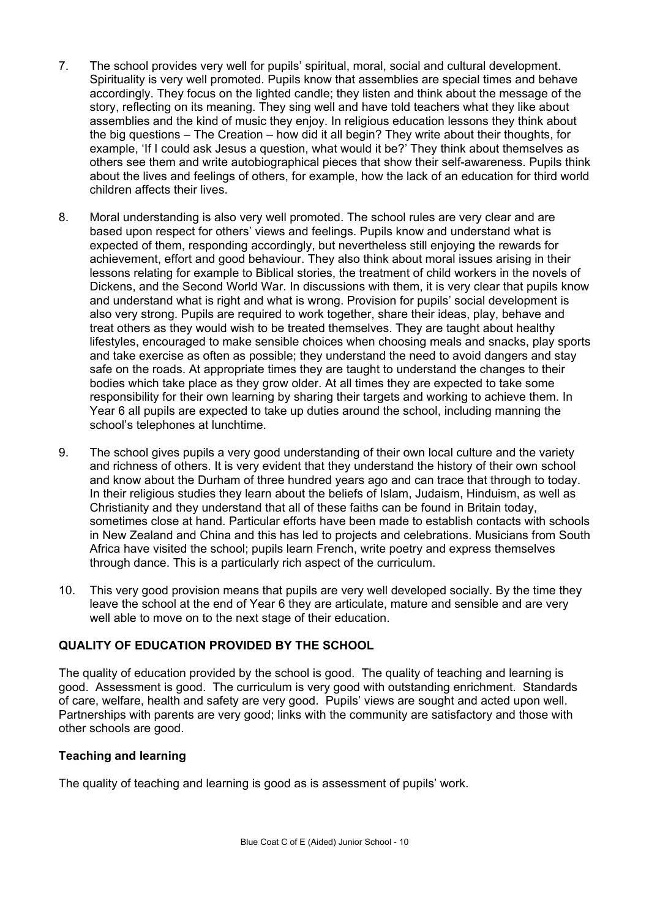- 7. The school provides very well for pupils' spiritual, moral, social and cultural development. Spirituality is very well promoted. Pupils know that assemblies are special times and behave accordingly. They focus on the lighted candle; they listen and think about the message of the story, reflecting on its meaning. They sing well and have told teachers what they like about assemblies and the kind of music they enjoy. In religious education lessons they think about the big questions – The Creation – how did it all begin? They write about their thoughts, for example, 'If I could ask Jesus a question, what would it be?' They think about themselves as others see them and write autobiographical pieces that show their self-awareness. Pupils think about the lives and feelings of others, for example, how the lack of an education for third world children affects their lives.
- 8. Moral understanding is also very well promoted. The school rules are very clear and are based upon respect for others' views and feelings. Pupils know and understand what is expected of them, responding accordingly, but nevertheless still enjoying the rewards for achievement, effort and good behaviour. They also think about moral issues arising in their lessons relating for example to Biblical stories, the treatment of child workers in the novels of Dickens, and the Second World War. In discussions with them, it is very clear that pupils know and understand what is right and what is wrong. Provision for pupils' social development is also very strong. Pupils are required to work together, share their ideas, play, behave and treat others as they would wish to be treated themselves. They are taught about healthy lifestyles, encouraged to make sensible choices when choosing meals and snacks, play sports and take exercise as often as possible; they understand the need to avoid dangers and stay safe on the roads. At appropriate times they are taught to understand the changes to their bodies which take place as they grow older. At all times they are expected to take some responsibility for their own learning by sharing their targets and working to achieve them. In Year 6 all pupils are expected to take up duties around the school, including manning the school's telephones at lunchtime.
- 9. The school gives pupils a very good understanding of their own local culture and the variety and richness of others. It is very evident that they understand the history of their own school and know about the Durham of three hundred years ago and can trace that through to today. In their religious studies they learn about the beliefs of Islam, Judaism, Hinduism, as well as Christianity and they understand that all of these faiths can be found in Britain today, sometimes close at hand. Particular efforts have been made to establish contacts with schools in New Zealand and China and this has led to projects and celebrations. Musicians from South Africa have visited the school; pupils learn French, write poetry and express themselves through dance. This is a particularly rich aspect of the curriculum.
- 10. This very good provision means that pupils are very well developed socially. By the time they leave the school at the end of Year 6 they are articulate, mature and sensible and are very well able to move on to the next stage of their education.

#### **QUALITY OF EDUCATION PROVIDED BY THE SCHOOL**

The quality of education provided by the school is good. The quality of teaching and learning is good. Assessment is good. The curriculum is very good with outstanding enrichment. Standards of care, welfare, health and safety are very good. Pupils' views are sought and acted upon well. Partnerships with parents are very good; links with the community are satisfactory and those with other schools are good.

#### **Teaching and learning**

The quality of teaching and learning is good as is assessment of pupils' work.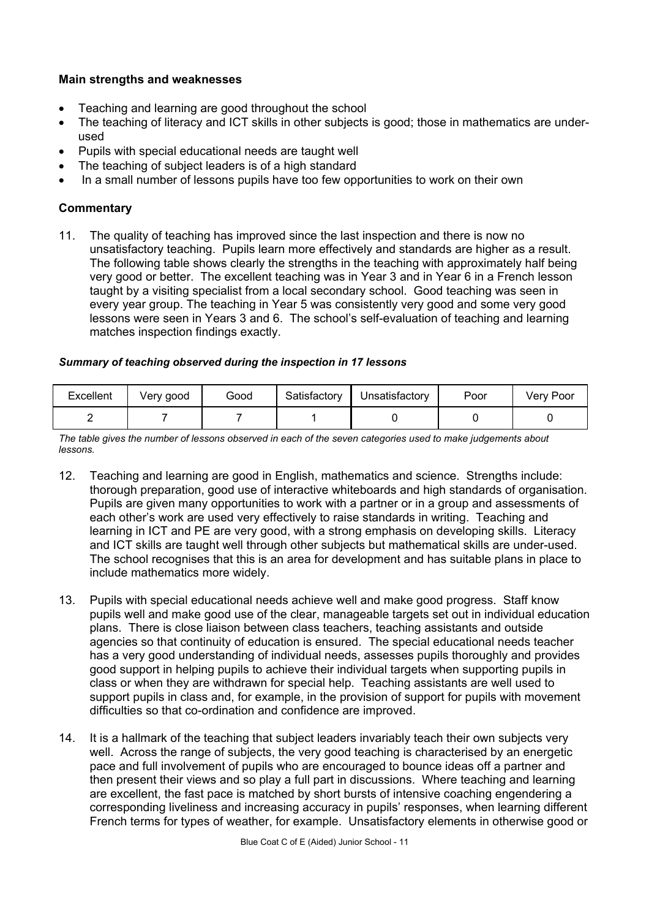## **Main strengths and weaknesses**

- Teaching and learning are good throughout the school
- The teaching of literacy and ICT skills in other subjects is good; those in mathematics are underused
- Pupils with special educational needs are taught well
- The teaching of subject leaders is of a high standard
- In a small number of lessons pupils have too few opportunities to work on their own

## **Commentary**

11. The quality of teaching has improved since the last inspection and there is now no unsatisfactory teaching. Pupils learn more effectively and standards are higher as a result. The following table shows clearly the strengths in the teaching with approximately half being very good or better. The excellent teaching was in Year 3 and in Year 6 in a French lesson taught by a visiting specialist from a local secondary school. Good teaching was seen in every year group. The teaching in Year 5 was consistently very good and some very good lessons were seen in Years 3 and 6. The school's self-evaluation of teaching and learning matches inspection findings exactly.

#### *Summary of teaching observed during the inspection in 17 lessons*

| Excellent | Very good | Good | Satisfactory | Unsatisfactory | Poor | Verv Poor |
|-----------|-----------|------|--------------|----------------|------|-----------|
|           |           |      |              |                |      |           |

*The table gives the number of lessons observed in each of the seven categories used to make judgements about lessons.* 

- 12. Teaching and learning are good in English, mathematics and science. Strengths include: thorough preparation, good use of interactive whiteboards and high standards of organisation. Pupils are given many opportunities to work with a partner or in a group and assessments of each other's work are used very effectively to raise standards in writing. Teaching and learning in ICT and PE are very good, with a strong emphasis on developing skills. Literacy and ICT skills are taught well through other subjects but mathematical skills are under-used. The school recognises that this is an area for development and has suitable plans in place to include mathematics more widely.
- 13. Pupils with special educational needs achieve well and make good progress. Staff know pupils well and make good use of the clear, manageable targets set out in individual education plans. There is close liaison between class teachers, teaching assistants and outside agencies so that continuity of education is ensured. The special educational needs teacher has a very good understanding of individual needs, assesses pupils thoroughly and provides good support in helping pupils to achieve their individual targets when supporting pupils in class or when they are withdrawn for special help. Teaching assistants are well used to support pupils in class and, for example, in the provision of support for pupils with movement difficulties so that co-ordination and confidence are improved.
- 14. It is a hallmark of the teaching that subject leaders invariably teach their own subjects very well. Across the range of subjects, the very good teaching is characterised by an energetic pace and full involvement of pupils who are encouraged to bounce ideas off a partner and then present their views and so play a full part in discussions. Where teaching and learning are excellent, the fast pace is matched by short bursts of intensive coaching engendering a corresponding liveliness and increasing accuracy in pupils' responses, when learning different French terms for types of weather, for example. Unsatisfactory elements in otherwise good or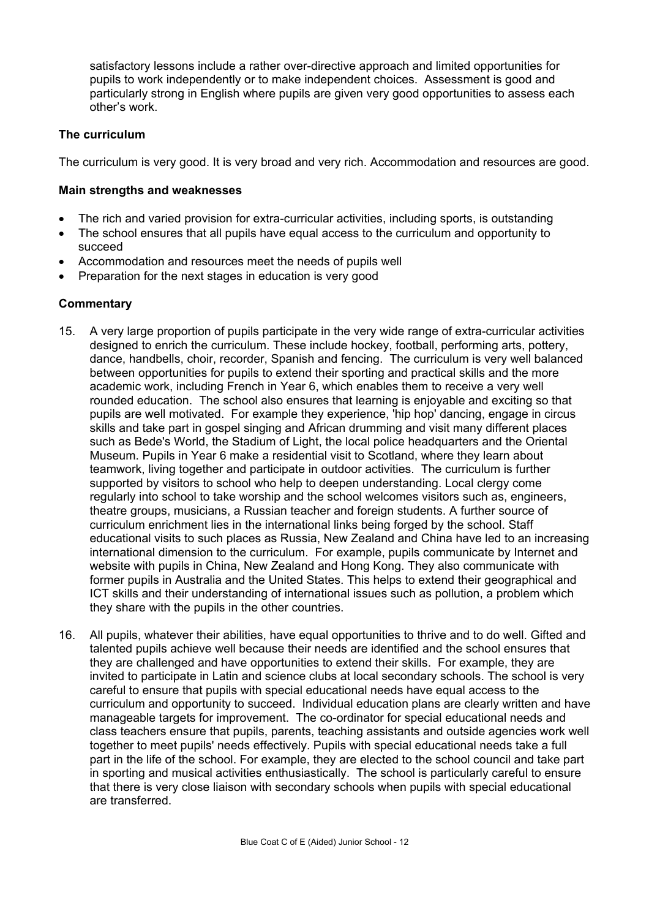satisfactory lessons include a rather over-directive approach and limited opportunities for pupils to work independently or to make independent choices. Assessment is good and particularly strong in English where pupils are given very good opportunities to assess each other's work.

## **The curriculum**

The curriculum is very good. It is very broad and very rich. Accommodation and resources are good.

#### **Main strengths and weaknesses**

- The rich and varied provision for extra-curricular activities, including sports, is outstanding
- The school ensures that all pupils have equal access to the curriculum and opportunity to succeed
- Accommodation and resources meet the needs of pupils well
- Preparation for the next stages in education is very good

- 15. A very large proportion of pupils participate in the very wide range of extra-curricular activities designed to enrich the curriculum. These include hockey, football, performing arts, pottery, dance, handbells, choir, recorder, Spanish and fencing. The curriculum is very well balanced between opportunities for pupils to extend their sporting and practical skills and the more academic work, including French in Year 6, which enables them to receive a very well rounded education. The school also ensures that learning is enjoyable and exciting so that pupils are well motivated. For example they experience, 'hip hop' dancing, engage in circus skills and take part in gospel singing and African drumming and visit many different places such as Bede's World, the Stadium of Light, the local police headquarters and the Oriental Museum. Pupils in Year 6 make a residential visit to Scotland, where they learn about teamwork, living together and participate in outdoor activities. The curriculum is further supported by visitors to school who help to deepen understanding. Local clergy come regularly into school to take worship and the school welcomes visitors such as, engineers, theatre groups, musicians, a Russian teacher and foreign students. A further source of curriculum enrichment lies in the international links being forged by the school. Staff educational visits to such places as Russia, New Zealand and China have led to an increasing international dimension to the curriculum. For example, pupils communicate by Internet and website with pupils in China, New Zealand and Hong Kong. They also communicate with former pupils in Australia and the United States. This helps to extend their geographical and ICT skills and their understanding of international issues such as pollution, a problem which they share with the pupils in the other countries.
- 16. All pupils, whatever their abilities, have equal opportunities to thrive and to do well. Gifted and talented pupils achieve well because their needs are identified and the school ensures that they are challenged and have opportunities to extend their skills. For example, they are invited to participate in Latin and science clubs at local secondary schools. The school is very careful to ensure that pupils with special educational needs have equal access to the curriculum and opportunity to succeed. Individual education plans are clearly written and have manageable targets for improvement. The co-ordinator for special educational needs and class teachers ensure that pupils, parents, teaching assistants and outside agencies work well together to meet pupils' needs effectively. Pupils with special educational needs take a full part in the life of the school. For example, they are elected to the school council and take part in sporting and musical activities enthusiastically. The school is particularly careful to ensure that there is very close liaison with secondary schools when pupils with special educational are transferred.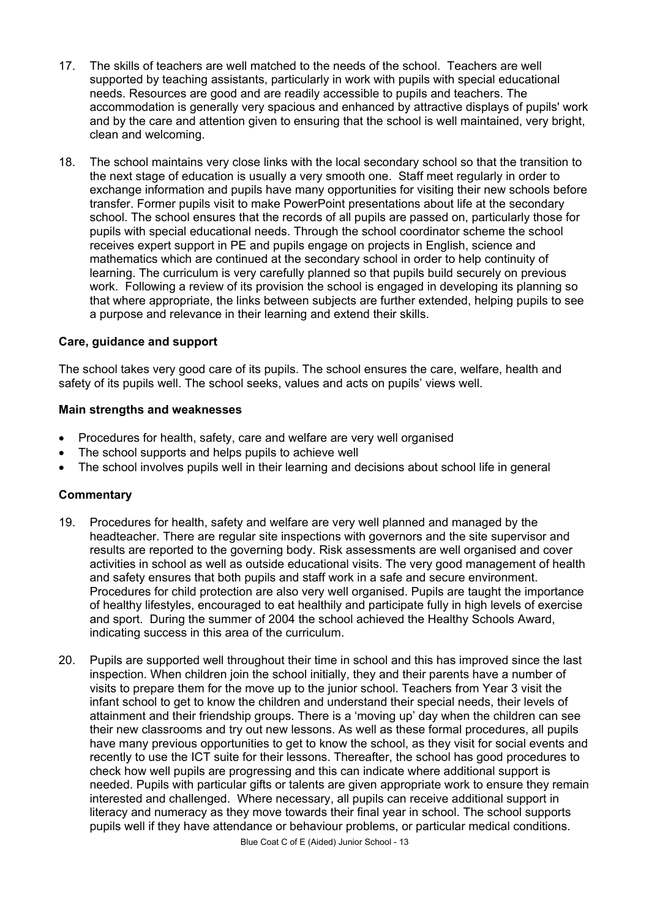- 17. The skills of teachers are well matched to the needs of the school. Teachers are well supported by teaching assistants, particularly in work with pupils with special educational needs. Resources are good and are readily accessible to pupils and teachers. The accommodation is generally very spacious and enhanced by attractive displays of pupils' work and by the care and attention given to ensuring that the school is well maintained, very bright, clean and welcoming.
- 18. The school maintains very close links with the local secondary school so that the transition to the next stage of education is usually a very smooth one. Staff meet regularly in order to exchange information and pupils have many opportunities for visiting their new schools before transfer. Former pupils visit to make PowerPoint presentations about life at the secondary school. The school ensures that the records of all pupils are passed on, particularly those for pupils with special educational needs. Through the school coordinator scheme the school receives expert support in PE and pupils engage on projects in English, science and mathematics which are continued at the secondary school in order to help continuity of learning. The curriculum is very carefully planned so that pupils build securely on previous work. Following a review of its provision the school is engaged in developing its planning so that where appropriate, the links between subjects are further extended, helping pupils to see a purpose and relevance in their learning and extend their skills.

#### **Care, guidance and support**

The school takes very good care of its pupils. The school ensures the care, welfare, health and safety of its pupils well. The school seeks, values and acts on pupils' views well.

#### **Main strengths and weaknesses**

- Procedures for health, safety, care and welfare are very well organised
- The school supports and helps pupils to achieve well
- The school involves pupils well in their learning and decisions about school life in general

- 19. Procedures for health, safety and welfare are very well planned and managed by the headteacher. There are regular site inspections with governors and the site supervisor and results are reported to the governing body. Risk assessments are well organised and cover activities in school as well as outside educational visits. The very good management of health and safety ensures that both pupils and staff work in a safe and secure environment. Procedures for child protection are also very well organised. Pupils are taught the importance of healthy lifestyles, encouraged to eat healthily and participate fully in high levels of exercise and sport. During the summer of 2004 the school achieved the Healthy Schools Award, indicating success in this area of the curriculum.
- 20. Pupils are supported well throughout their time in school and this has improved since the last inspection. When children join the school initially, they and their parents have a number of visits to prepare them for the move up to the junior school. Teachers from Year 3 visit the infant school to get to know the children and understand their special needs, their levels of attainment and their friendship groups. There is a 'moving up' day when the children can see their new classrooms and try out new lessons. As well as these formal procedures, all pupils have many previous opportunities to get to know the school, as they visit for social events and recently to use the ICT suite for their lessons. Thereafter, the school has good procedures to check how well pupils are progressing and this can indicate where additional support is needed. Pupils with particular gifts or talents are given appropriate work to ensure they remain interested and challenged. Where necessary, all pupils can receive additional support in literacy and numeracy as they move towards their final year in school. The school supports pupils well if they have attendance or behaviour problems, or particular medical conditions.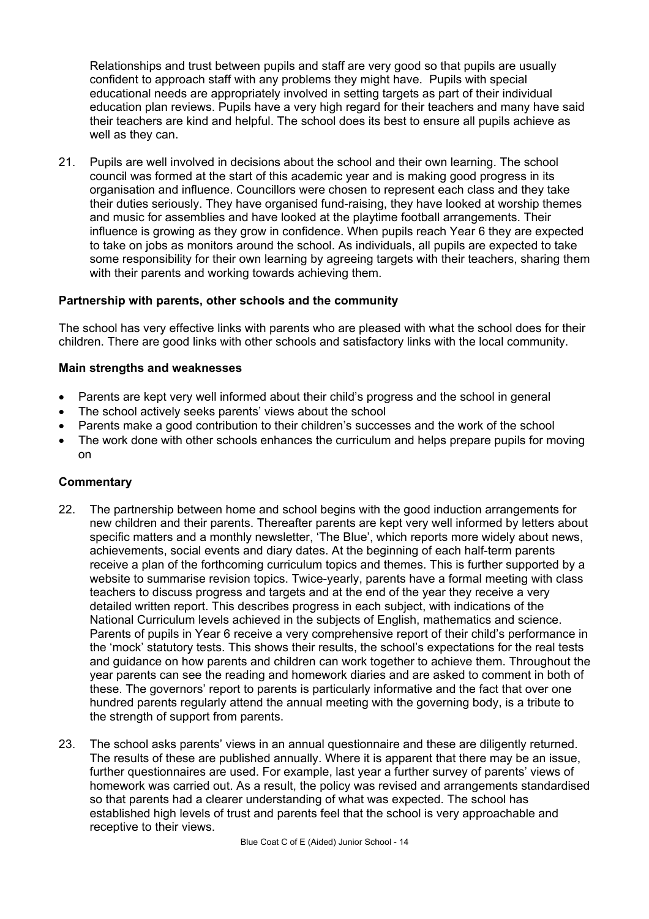Relationships and trust between pupils and staff are very good so that pupils are usually confident to approach staff with any problems they might have. Pupils with special educational needs are appropriately involved in setting targets as part of their individual education plan reviews. Pupils have a very high regard for their teachers and many have said their teachers are kind and helpful. The school does its best to ensure all pupils achieve as well as they can.

21. Pupils are well involved in decisions about the school and their own learning. The school council was formed at the start of this academic year and is making good progress in its organisation and influence. Councillors were chosen to represent each class and they take their duties seriously. They have organised fund-raising, they have looked at worship themes and music for assemblies and have looked at the playtime football arrangements. Their influence is growing as they grow in confidence. When pupils reach Year 6 they are expected to take on jobs as monitors around the school. As individuals, all pupils are expected to take some responsibility for their own learning by agreeing targets with their teachers, sharing them with their parents and working towards achieving them.

#### **Partnership with parents, other schools and the community**

The school has very effective links with parents who are pleased with what the school does for their children. There are good links with other schools and satisfactory links with the local community.

#### **Main strengths and weaknesses**

- Parents are kept very well informed about their child's progress and the school in general
- The school actively seeks parents' views about the school
- Parents make a good contribution to their children's successes and the work of the school
- The work done with other schools enhances the curriculum and helps prepare pupils for moving on

- 22. The partnership between home and school begins with the good induction arrangements for new children and their parents. Thereafter parents are kept very well informed by letters about specific matters and a monthly newsletter, 'The Blue', which reports more widely about news, achievements, social events and diary dates. At the beginning of each half-term parents receive a plan of the forthcoming curriculum topics and themes. This is further supported by a website to summarise revision topics. Twice-yearly, parents have a formal meeting with class teachers to discuss progress and targets and at the end of the year they receive a very detailed written report. This describes progress in each subject, with indications of the National Curriculum levels achieved in the subjects of English, mathematics and science. Parents of pupils in Year 6 receive a very comprehensive report of their child's performance in the 'mock' statutory tests. This shows their results, the school's expectations for the real tests and guidance on how parents and children can work together to achieve them. Throughout the year parents can see the reading and homework diaries and are asked to comment in both of these. The governors' report to parents is particularly informative and the fact that over one hundred parents regularly attend the annual meeting with the governing body, is a tribute to the strength of support from parents.
- 23. The school asks parents' views in an annual questionnaire and these are diligently returned. The results of these are published annually. Where it is apparent that there may be an issue, further questionnaires are used. For example, last year a further survey of parents' views of homework was carried out. As a result, the policy was revised and arrangements standardised so that parents had a clearer understanding of what was expected. The school has established high levels of trust and parents feel that the school is very approachable and receptive to their views.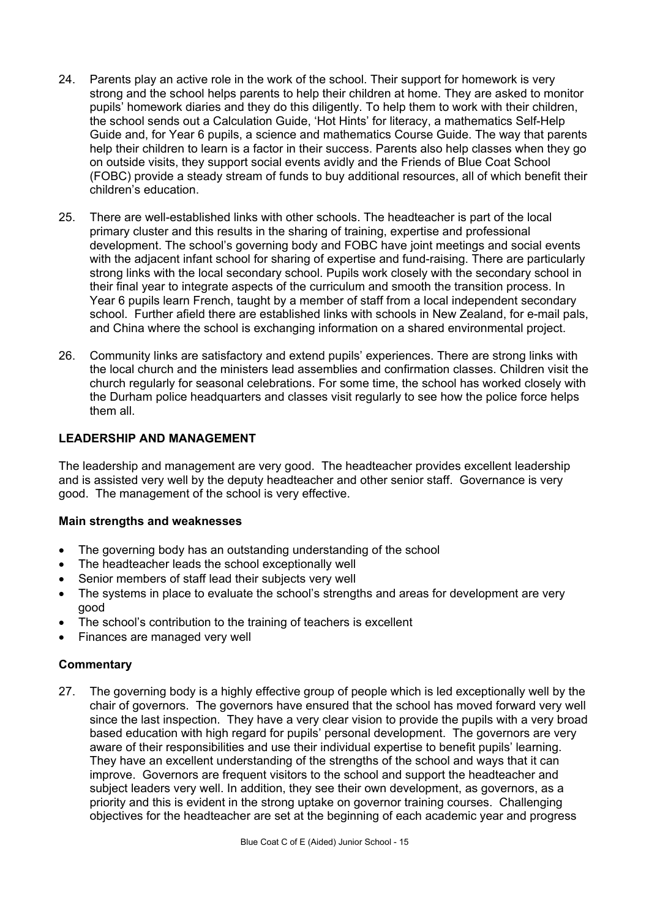- 24. Parents play an active role in the work of the school. Their support for homework is very strong and the school helps parents to help their children at home. They are asked to monitor pupils' homework diaries and they do this diligently. To help them to work with their children, the school sends out a Calculation Guide, 'Hot Hints' for literacy, a mathematics Self-Help Guide and, for Year 6 pupils, a science and mathematics Course Guide. The way that parents help their children to learn is a factor in their success. Parents also help classes when they go on outside visits, they support social events avidly and the Friends of Blue Coat School (FOBC) provide a steady stream of funds to buy additional resources, all of which benefit their children's education.
- 25. There are well-established links with other schools. The headteacher is part of the local primary cluster and this results in the sharing of training, expertise and professional development. The school's governing body and FOBC have joint meetings and social events with the adjacent infant school for sharing of expertise and fund-raising. There are particularly strong links with the local secondary school. Pupils work closely with the secondary school in their final year to integrate aspects of the curriculum and smooth the transition process. In Year 6 pupils learn French, taught by a member of staff from a local independent secondary school. Further afield there are established links with schools in New Zealand, for e-mail pals, and China where the school is exchanging information on a shared environmental project.
- 26. Community links are satisfactory and extend pupils' experiences. There are strong links with the local church and the ministers lead assemblies and confirmation classes. Children visit the church regularly for seasonal celebrations. For some time, the school has worked closely with the Durham police headquarters and classes visit regularly to see how the police force helps them all.

## **LEADERSHIP AND MANAGEMENT**

The leadership and management are very good. The headteacher provides excellent leadership and is assisted very well by the deputy headteacher and other senior staff. Governance is very good. The management of the school is very effective.

#### **Main strengths and weaknesses**

- The governing body has an outstanding understanding of the school
- The headteacher leads the school exceptionally well
- Senior members of staff lead their subjects very well
- The systems in place to evaluate the school's strengths and areas for development are very good
- The school's contribution to the training of teachers is excellent
- Finances are managed very well

#### **Commentary**

27. The governing body is a highly effective group of people which is led exceptionally well by the chair of governors. The governors have ensured that the school has moved forward very well since the last inspection. They have a very clear vision to provide the pupils with a very broad based education with high regard for pupils' personal development. The governors are very aware of their responsibilities and use their individual expertise to benefit pupils' learning. They have an excellent understanding of the strengths of the school and ways that it can improve. Governors are frequent visitors to the school and support the headteacher and subject leaders very well. In addition, they see their own development, as governors, as a priority and this is evident in the strong uptake on governor training courses. Challenging objectives for the headteacher are set at the beginning of each academic year and progress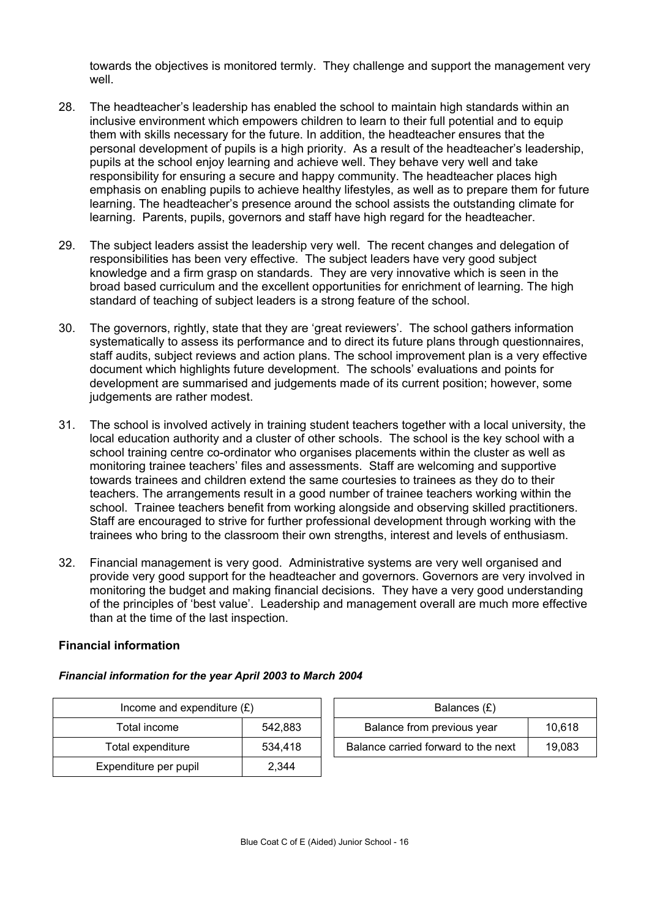towards the objectives is monitored termly. They challenge and support the management very well.

- 28. The headteacher's leadership has enabled the school to maintain high standards within an inclusive environment which empowers children to learn to their full potential and to equip them with skills necessary for the future. In addition, the headteacher ensures that the personal development of pupils is a high priority. As a result of the headteacher's leadership, pupils at the school enjoy learning and achieve well. They behave very well and take responsibility for ensuring a secure and happy community. The headteacher places high emphasis on enabling pupils to achieve healthy lifestyles, as well as to prepare them for future learning. The headteacher's presence around the school assists the outstanding climate for learning. Parents, pupils, governors and staff have high regard for the headteacher.
- 29. The subject leaders assist the leadership very well. The recent changes and delegation of responsibilities has been very effective. The subject leaders have very good subject knowledge and a firm grasp on standards. They are very innovative which is seen in the broad based curriculum and the excellent opportunities for enrichment of learning. The high standard of teaching of subject leaders is a strong feature of the school.
- 30. The governors, rightly, state that they are 'great reviewers'. The school gathers information systematically to assess its performance and to direct its future plans through questionnaires, staff audits, subject reviews and action plans. The school improvement plan is a very effective document which highlights future development. The schools' evaluations and points for development are summarised and judgements made of its current position; however, some judgements are rather modest.
- 31. The school is involved actively in training student teachers together with a local university, the local education authority and a cluster of other schools. The school is the key school with a school training centre co-ordinator who organises placements within the cluster as well as monitoring trainee teachers' files and assessments. Staff are welcoming and supportive towards trainees and children extend the same courtesies to trainees as they do to their teachers. The arrangements result in a good number of trainee teachers working within the school. Trainee teachers benefit from working alongside and observing skilled practitioners. Staff are encouraged to strive for further professional development through working with the trainees who bring to the classroom their own strengths, interest and levels of enthusiasm.
- 32. Financial management is very good. Administrative systems are very well organised and provide very good support for the headteacher and governors. Governors are very involved in monitoring the budget and making financial decisions. They have a very good understanding of the principles of 'best value'. Leadership and management overall are much more effective than at the time of the last inspection.

#### **Financial information**

#### *Financial information for the year April 2003 to March 2004*

| Income and expenditure $(E)$ | Balances (£) |                                  |
|------------------------------|--------------|----------------------------------|
| Total income                 | 542.883      | Balance from previous year       |
| Total expenditure            | 534.418      | Balance carried forward to the r |
| Expenditure per pupil        | 2,344        |                                  |

| Income and expenditure $(E)$ |         | Balances (£)                        |        |
|------------------------------|---------|-------------------------------------|--------|
| Total income                 | 542.883 | Balance from previous year          | 10.618 |
| Total expenditure            | 534.418 | Balance carried forward to the next | 19.083 |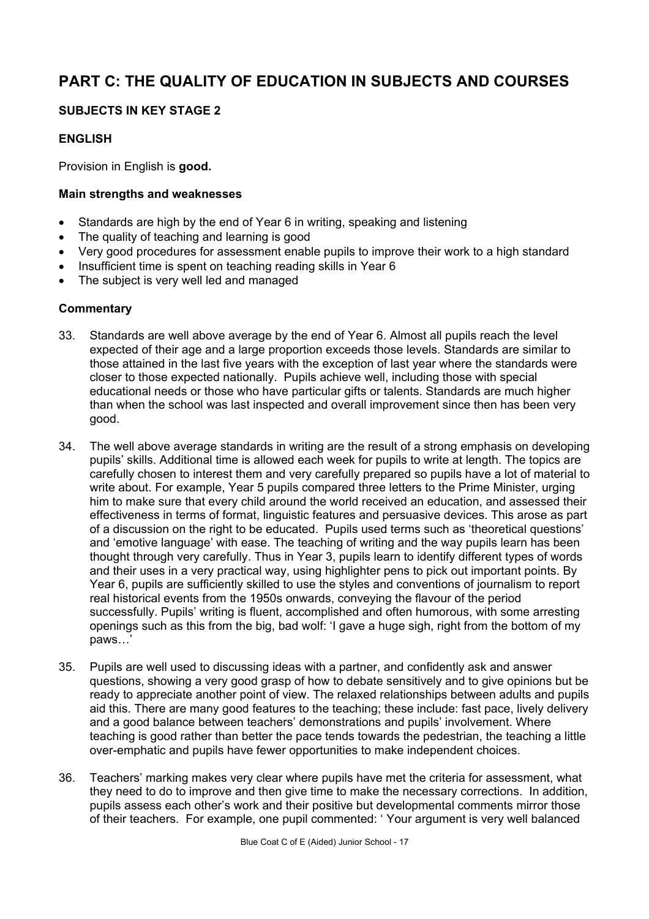# **PART C: THE QUALITY OF EDUCATION IN SUBJECTS AND COURSES**

# **SUBJECTS IN KEY STAGE 2**

# **ENGLISH**

Provision in English is **good.**

# **Main strengths and weaknesses**

- Standards are high by the end of Year 6 in writing, speaking and listening
- The quality of teaching and learning is good
- Very good procedures for assessment enable pupils to improve their work to a high standard
- Insufficient time is spent on teaching reading skills in Year 6
- The subject is very well led and managed

- 33. Standards are well above average by the end of Year 6. Almost all pupils reach the level expected of their age and a large proportion exceeds those levels. Standards are similar to those attained in the last five years with the exception of last year where the standards were closer to those expected nationally. Pupils achieve well, including those with special educational needs or those who have particular gifts or talents. Standards are much higher than when the school was last inspected and overall improvement since then has been very good.
- 34. The well above average standards in writing are the result of a strong emphasis on developing pupils' skills. Additional time is allowed each week for pupils to write at length. The topics are carefully chosen to interest them and very carefully prepared so pupils have a lot of material to write about. For example, Year 5 pupils compared three letters to the Prime Minister, urging him to make sure that every child around the world received an education, and assessed their effectiveness in terms of format, linguistic features and persuasive devices. This arose as part of a discussion on the right to be educated. Pupils used terms such as 'theoretical questions' and 'emotive language' with ease. The teaching of writing and the way pupils learn has been thought through very carefully. Thus in Year 3, pupils learn to identify different types of words and their uses in a very practical way, using highlighter pens to pick out important points. By Year 6, pupils are sufficiently skilled to use the styles and conventions of journalism to report real historical events from the 1950s onwards, conveying the flavour of the period successfully. Pupils' writing is fluent, accomplished and often humorous, with some arresting openings such as this from the big, bad wolf: 'I gave a huge sigh, right from the bottom of my paws…'
- 35. Pupils are well used to discussing ideas with a partner, and confidently ask and answer questions, showing a very good grasp of how to debate sensitively and to give opinions but be ready to appreciate another point of view. The relaxed relationships between adults and pupils aid this. There are many good features to the teaching; these include: fast pace, lively delivery and a good balance between teachers' demonstrations and pupils' involvement. Where teaching is good rather than better the pace tends towards the pedestrian, the teaching a little over-emphatic and pupils have fewer opportunities to make independent choices.
- 36. Teachers' marking makes very clear where pupils have met the criteria for assessment, what they need to do to improve and then give time to make the necessary corrections. In addition, pupils assess each other's work and their positive but developmental comments mirror those of their teachers. For example, one pupil commented: ' Your argument is very well balanced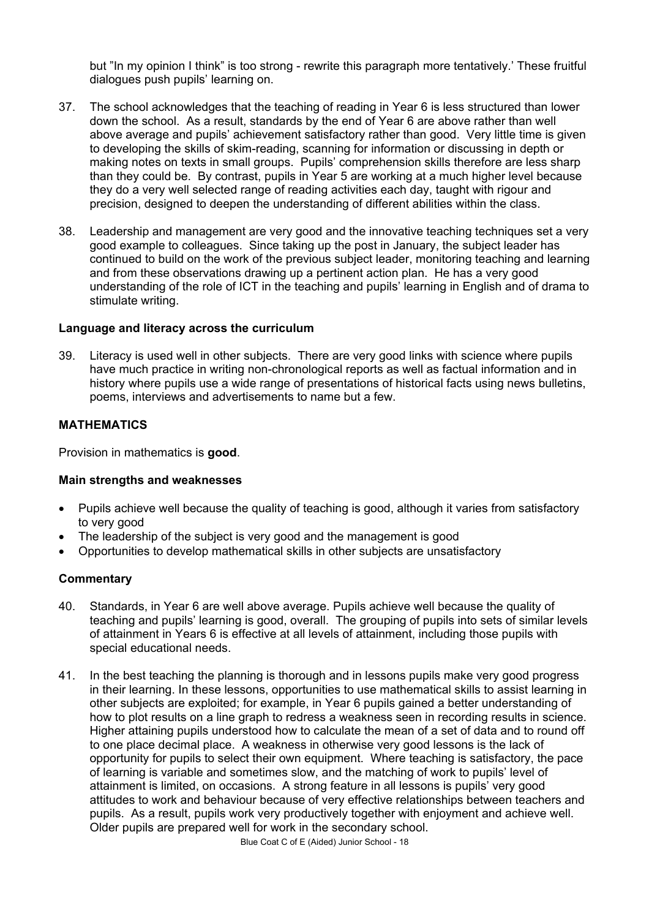but "In my opinion I think" is too strong - rewrite this paragraph more tentatively.' These fruitful dialogues push pupils' learning on.

- 37. The school acknowledges that the teaching of reading in Year 6 is less structured than lower down the school. As a result, standards by the end of Year 6 are above rather than well above average and pupils' achievement satisfactory rather than good. Very little time is given to developing the skills of skim-reading, scanning for information or discussing in depth or making notes on texts in small groups. Pupils' comprehension skills therefore are less sharp than they could be. By contrast, pupils in Year 5 are working at a much higher level because they do a very well selected range of reading activities each day, taught with rigour and precision, designed to deepen the understanding of different abilities within the class.
- 38. Leadership and management are very good and the innovative teaching techniques set a very good example to colleagues. Since taking up the post in January, the subject leader has continued to build on the work of the previous subject leader, monitoring teaching and learning and from these observations drawing up a pertinent action plan. He has a very good understanding of the role of ICT in the teaching and pupils' learning in English and of drama to stimulate writing.

#### **Language and literacy across the curriculum**

39. Literacy is used well in other subjects. There are very good links with science where pupils have much practice in writing non-chronological reports as well as factual information and in history where pupils use a wide range of presentations of historical facts using news bulletins, poems, interviews and advertisements to name but a few.

#### **MATHEMATICS**

Provision in mathematics is **good**.

#### **Main strengths and weaknesses**

- Pupils achieve well because the quality of teaching is good, although it varies from satisfactory to very good
- The leadership of the subject is very good and the management is good
- Opportunities to develop mathematical skills in other subjects are unsatisfactory

- 40. Standards, in Year 6 are well above average. Pupils achieve well because the quality of teaching and pupils' learning is good, overall. The grouping of pupils into sets of similar levels of attainment in Years 6 is effective at all levels of attainment, including those pupils with special educational needs.
- 41. In the best teaching the planning is thorough and in lessons pupils make very good progress in their learning. In these lessons, opportunities to use mathematical skills to assist learning in other subjects are exploited; for example, in Year 6 pupils gained a better understanding of how to plot results on a line graph to redress a weakness seen in recording results in science. Higher attaining pupils understood how to calculate the mean of a set of data and to round off to one place decimal place. A weakness in otherwise very good lessons is the lack of opportunity for pupils to select their own equipment. Where teaching is satisfactory, the pace of learning is variable and sometimes slow, and the matching of work to pupils' level of attainment is limited, on occasions. A strong feature in all lessons is pupils' very good attitudes to work and behaviour because of very effective relationships between teachers and pupils. As a result, pupils work very productively together with enjoyment and achieve well. Older pupils are prepared well for work in the secondary school.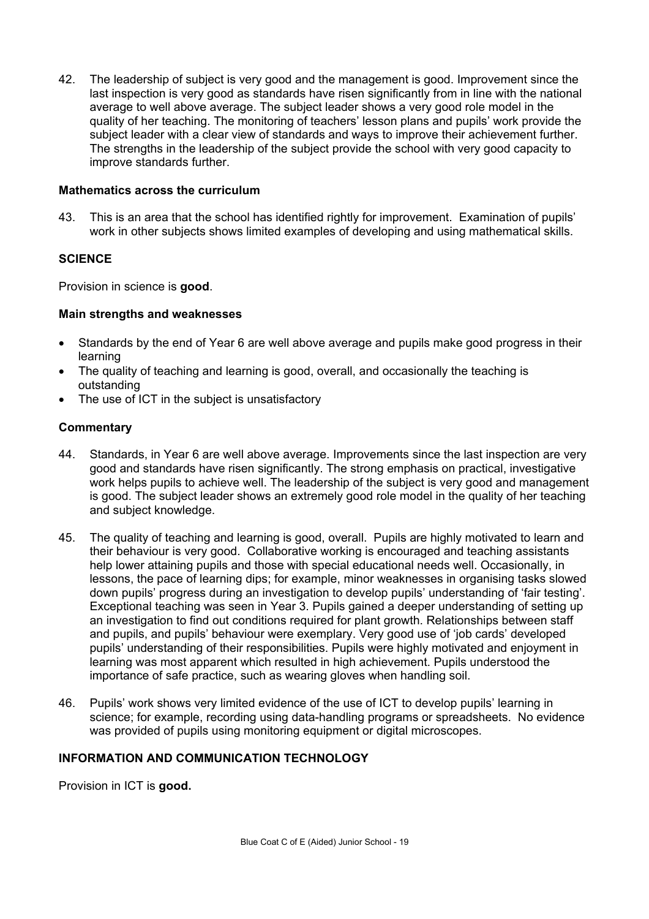42. The leadership of subject is very good and the management is good. Improvement since the last inspection is very good as standards have risen significantly from in line with the national average to well above average. The subject leader shows a very good role model in the quality of her teaching. The monitoring of teachers' lesson plans and pupils' work provide the subject leader with a clear view of standards and ways to improve their achievement further. The strengths in the leadership of the subject provide the school with very good capacity to improve standards further.

#### **Mathematics across the curriculum**

43. This is an area that the school has identified rightly for improvement. Examination of pupils' work in other subjects shows limited examples of developing and using mathematical skills.

#### **SCIENCE**

Provision in science is **good**.

#### **Main strengths and weaknesses**

- Standards by the end of Year 6 are well above average and pupils make good progress in their learning
- The quality of teaching and learning is good, overall, and occasionally the teaching is outstanding
- The use of ICT in the subject is unsatisfactory

#### **Commentary**

- 44. Standards, in Year 6 are well above average. Improvements since the last inspection are very good and standards have risen significantly. The strong emphasis on practical, investigative work helps pupils to achieve well. The leadership of the subject is very good and management is good. The subject leader shows an extremely good role model in the quality of her teaching and subject knowledge.
- 45. The quality of teaching and learning is good, overall. Pupils are highly motivated to learn and their behaviour is very good. Collaborative working is encouraged and teaching assistants help lower attaining pupils and those with special educational needs well. Occasionally, in lessons, the pace of learning dips; for example, minor weaknesses in organising tasks slowed down pupils' progress during an investigation to develop pupils' understanding of 'fair testing'. Exceptional teaching was seen in Year 3. Pupils gained a deeper understanding of setting up an investigation to find out conditions required for plant growth. Relationships between staff and pupils, and pupils' behaviour were exemplary. Very good use of 'job cards' developed pupils' understanding of their responsibilities. Pupils were highly motivated and enjoyment in learning was most apparent which resulted in high achievement. Pupils understood the importance of safe practice, such as wearing gloves when handling soil.
- 46. Pupils' work shows very limited evidence of the use of ICT to develop pupils' learning in science; for example, recording using data-handling programs or spreadsheets. No evidence was provided of pupils using monitoring equipment or digital microscopes.

#### **INFORMATION AND COMMUNICATION TECHNOLOGY**

Provision in ICT is **good.**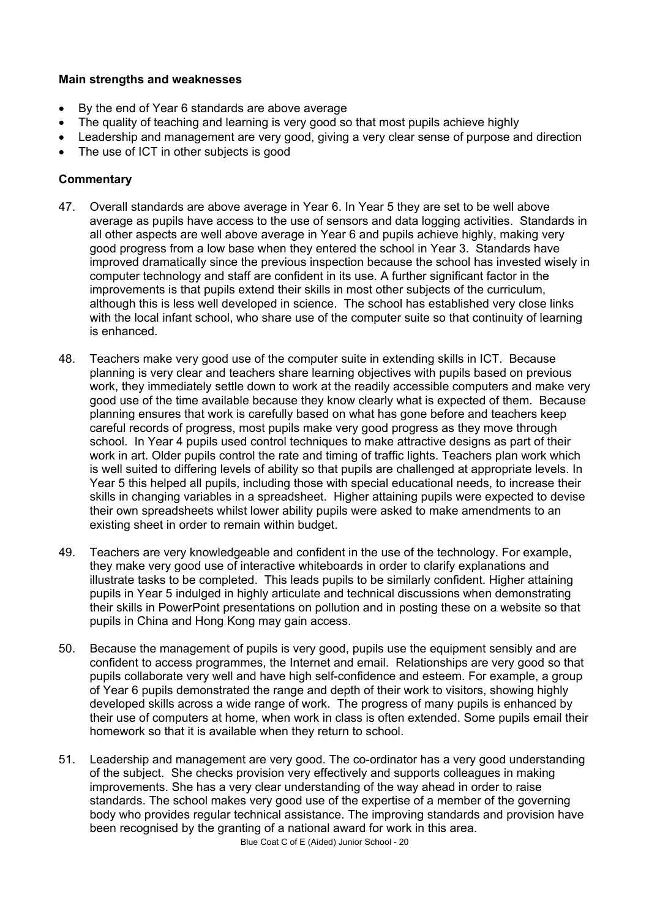## **Main strengths and weaknesses**

- By the end of Year 6 standards are above average
- The quality of teaching and learning is very good so that most pupils achieve highly
- Leadership and management are very good, giving a very clear sense of purpose and direction
- The use of ICT in other subjects is good

- 47. Overall standards are above average in Year 6. In Year 5 they are set to be well above average as pupils have access to the use of sensors and data logging activities. Standards in all other aspects are well above average in Year 6 and pupils achieve highly, making very good progress from a low base when they entered the school in Year 3. Standards have improved dramatically since the previous inspection because the school has invested wisely in computer technology and staff are confident in its use. A further significant factor in the improvements is that pupils extend their skills in most other subjects of the curriculum, although this is less well developed in science. The school has established very close links with the local infant school, who share use of the computer suite so that continuity of learning is enhanced.
- 48. Teachers make very good use of the computer suite in extending skills in ICT. Because planning is very clear and teachers share learning objectives with pupils based on previous work, they immediately settle down to work at the readily accessible computers and make very good use of the time available because they know clearly what is expected of them. Because planning ensures that work is carefully based on what has gone before and teachers keep careful records of progress, most pupils make very good progress as they move through school. In Year 4 pupils used control techniques to make attractive designs as part of their work in art. Older pupils control the rate and timing of traffic lights. Teachers plan work which is well suited to differing levels of ability so that pupils are challenged at appropriate levels. In Year 5 this helped all pupils, including those with special educational needs, to increase their skills in changing variables in a spreadsheet. Higher attaining pupils were expected to devise their own spreadsheets whilst lower ability pupils were asked to make amendments to an existing sheet in order to remain within budget.
- 49. Teachers are very knowledgeable and confident in the use of the technology. For example, they make very good use of interactive whiteboards in order to clarify explanations and illustrate tasks to be completed. This leads pupils to be similarly confident. Higher attaining pupils in Year 5 indulged in highly articulate and technical discussions when demonstrating their skills in PowerPoint presentations on pollution and in posting these on a website so that pupils in China and Hong Kong may gain access.
- 50. Because the management of pupils is very good, pupils use the equipment sensibly and are confident to access programmes, the Internet and email. Relationships are very good so that pupils collaborate very well and have high self-confidence and esteem. For example, a group of Year 6 pupils demonstrated the range and depth of their work to visitors, showing highly developed skills across a wide range of work. The progress of many pupils is enhanced by their use of computers at home, when work in class is often extended. Some pupils email their homework so that it is available when they return to school.
- 51. Leadership and management are very good. The co-ordinator has a very good understanding of the subject. She checks provision very effectively and supports colleagues in making improvements. She has a very clear understanding of the way ahead in order to raise standards. The school makes very good use of the expertise of a member of the governing body who provides regular technical assistance. The improving standards and provision have been recognised by the granting of a national award for work in this area.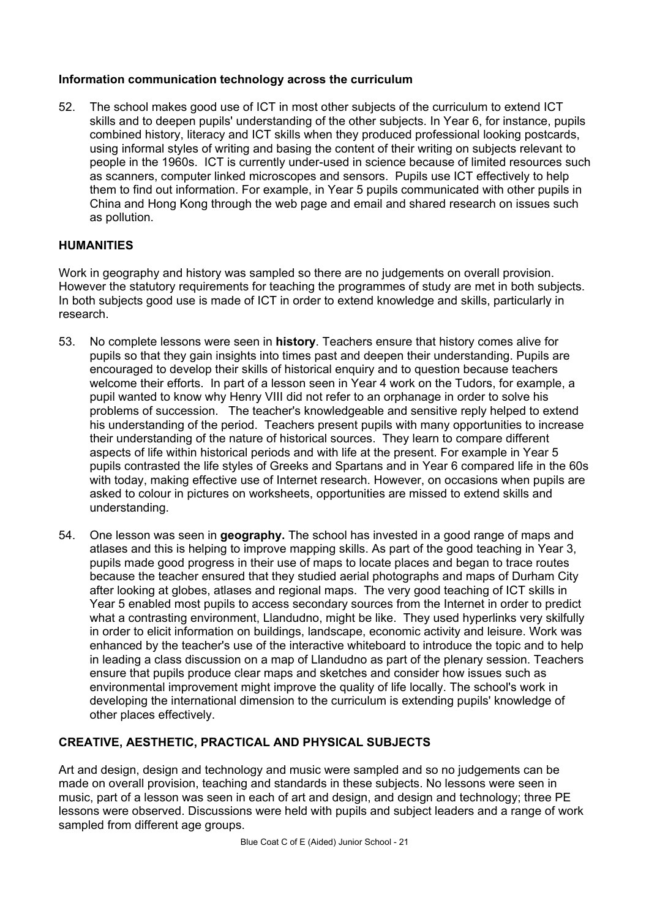## **Information communication technology across the curriculum**

52. The school makes good use of ICT in most other subjects of the curriculum to extend ICT skills and to deepen pupils' understanding of the other subjects. In Year 6, for instance, pupils combined history, literacy and ICT skills when they produced professional looking postcards, using informal styles of writing and basing the content of their writing on subjects relevant to people in the 1960s. ICT is currently under-used in science because of limited resources such as scanners, computer linked microscopes and sensors. Pupils use ICT effectively to help them to find out information. For example, in Year 5 pupils communicated with other pupils in China and Hong Kong through the web page and email and shared research on issues such as pollution.

## **HUMANITIES**

Work in geography and history was sampled so there are no judgements on overall provision. However the statutory requirements for teaching the programmes of study are met in both subjects. In both subjects good use is made of ICT in order to extend knowledge and skills, particularly in research.

- 53. No complete lessons were seen in **history**. Teachers ensure that history comes alive for pupils so that they gain insights into times past and deepen their understanding. Pupils are encouraged to develop their skills of historical enquiry and to question because teachers welcome their efforts. In part of a lesson seen in Year 4 work on the Tudors, for example, a pupil wanted to know why Henry VIII did not refer to an orphanage in order to solve his problems of succession. The teacher's knowledgeable and sensitive reply helped to extend his understanding of the period. Teachers present pupils with many opportunities to increase their understanding of the nature of historical sources. They learn to compare different aspects of life within historical periods and with life at the present. For example in Year 5 pupils contrasted the life styles of Greeks and Spartans and in Year 6 compared life in the 60s with today, making effective use of Internet research. However, on occasions when pupils are asked to colour in pictures on worksheets, opportunities are missed to extend skills and understanding.
- 54. One lesson was seen in **geography.** The school has invested in a good range of maps and atlases and this is helping to improve mapping skills. As part of the good teaching in Year 3, pupils made good progress in their use of maps to locate places and began to trace routes because the teacher ensured that they studied aerial photographs and maps of Durham City after looking at globes, atlases and regional maps. The very good teaching of ICT skills in Year 5 enabled most pupils to access secondary sources from the Internet in order to predict what a contrasting environment, Llandudno, might be like. They used hyperlinks very skilfully in order to elicit information on buildings, landscape, economic activity and leisure. Work was enhanced by the teacher's use of the interactive whiteboard to introduce the topic and to help in leading a class discussion on a map of Llandudno as part of the plenary session. Teachers ensure that pupils produce clear maps and sketches and consider how issues such as environmental improvement might improve the quality of life locally. The school's work in developing the international dimension to the curriculum is extending pupils' knowledge of other places effectively.

# **CREATIVE, AESTHETIC, PRACTICAL AND PHYSICAL SUBJECTS**

Art and design, design and technology and music were sampled and so no judgements can be made on overall provision, teaching and standards in these subjects. No lessons were seen in music, part of a lesson was seen in each of art and design, and design and technology; three PE lessons were observed. Discussions were held with pupils and subject leaders and a range of work sampled from different age groups.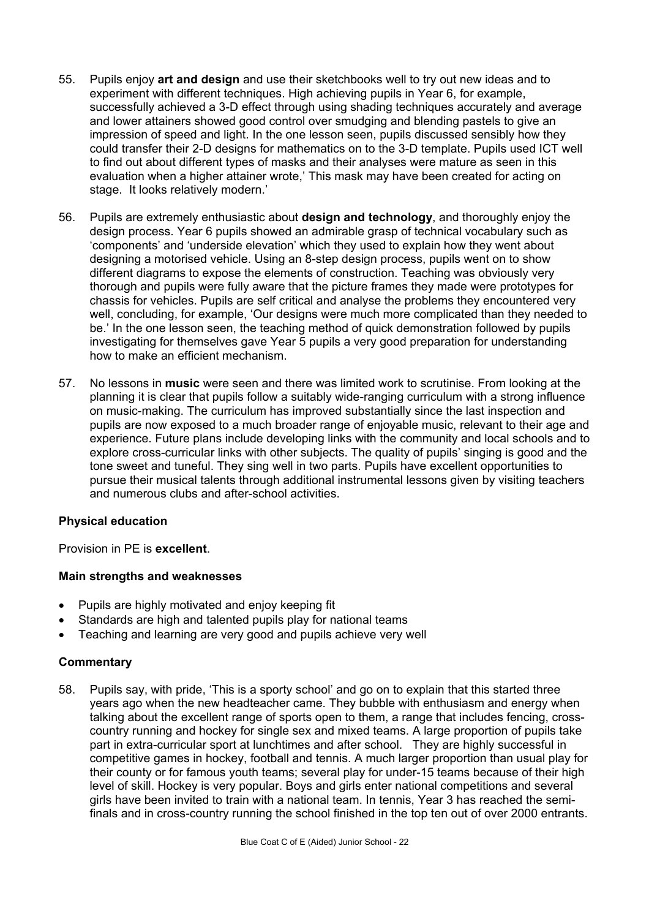- 55. Pupils enjoy **art and design** and use their sketchbooks well to try out new ideas and to experiment with different techniques. High achieving pupils in Year 6, for example, successfully achieved a 3-D effect through using shading techniques accurately and average and lower attainers showed good control over smudging and blending pastels to give an impression of speed and light. In the one lesson seen, pupils discussed sensibly how they could transfer their 2-D designs for mathematics on to the 3-D template. Pupils used ICT well to find out about different types of masks and their analyses were mature as seen in this evaluation when a higher attainer wrote,' This mask may have been created for acting on stage. It looks relatively modern.'
- 56. Pupils are extremely enthusiastic about **design and technology**, and thoroughly enjoy the design process. Year 6 pupils showed an admirable grasp of technical vocabulary such as 'components' and 'underside elevation' which they used to explain how they went about designing a motorised vehicle. Using an 8-step design process, pupils went on to show different diagrams to expose the elements of construction. Teaching was obviously very thorough and pupils were fully aware that the picture frames they made were prototypes for chassis for vehicles. Pupils are self critical and analyse the problems they encountered very well, concluding, for example, 'Our designs were much more complicated than they needed to be.' In the one lesson seen, the teaching method of quick demonstration followed by pupils investigating for themselves gave Year 5 pupils a very good preparation for understanding how to make an efficient mechanism.
- 57. No lessons in **music** were seen and there was limited work to scrutinise. From looking at the planning it is clear that pupils follow a suitably wide-ranging curriculum with a strong influence on music-making. The curriculum has improved substantially since the last inspection and pupils are now exposed to a much broader range of enjoyable music, relevant to their age and experience. Future plans include developing links with the community and local schools and to explore cross-curricular links with other subjects. The quality of pupils' singing is good and the tone sweet and tuneful. They sing well in two parts. Pupils have excellent opportunities to pursue their musical talents through additional instrumental lessons given by visiting teachers and numerous clubs and after-school activities.

# **Physical education**

Provision in PE is **excellent**.

# **Main strengths and weaknesses**

- Pupils are highly motivated and enjoy keeping fit
- Standards are high and talented pupils play for national teams
- Teaching and learning are very good and pupils achieve very well

#### **Commentary**

58. Pupils say, with pride, 'This is a sporty school' and go on to explain that this started three years ago when the new headteacher came. They bubble with enthusiasm and energy when talking about the excellent range of sports open to them, a range that includes fencing, crosscountry running and hockey for single sex and mixed teams. A large proportion of pupils take part in extra-curricular sport at lunchtimes and after school. They are highly successful in competitive games in hockey, football and tennis. A much larger proportion than usual play for their county or for famous youth teams; several play for under-15 teams because of their high level of skill. Hockey is very popular. Boys and girls enter national competitions and several girls have been invited to train with a national team. In tennis, Year 3 has reached the semifinals and in cross-country running the school finished in the top ten out of over 2000 entrants.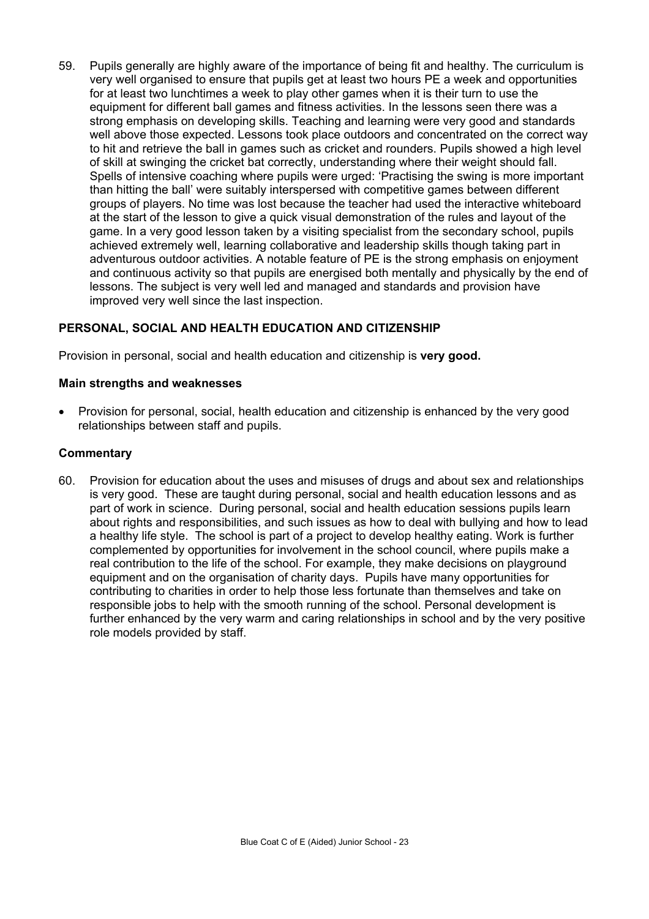59. Pupils generally are highly aware of the importance of being fit and healthy. The curriculum is very well organised to ensure that pupils get at least two hours PE a week and opportunities for at least two lunchtimes a week to play other games when it is their turn to use the equipment for different ball games and fitness activities. In the lessons seen there was a strong emphasis on developing skills. Teaching and learning were very good and standards well above those expected. Lessons took place outdoors and concentrated on the correct way to hit and retrieve the ball in games such as cricket and rounders. Pupils showed a high level of skill at swinging the cricket bat correctly, understanding where their weight should fall. Spells of intensive coaching where pupils were urged: 'Practising the swing is more important than hitting the ball' were suitably interspersed with competitive games between different groups of players. No time was lost because the teacher had used the interactive whiteboard at the start of the lesson to give a quick visual demonstration of the rules and layout of the game. In a very good lesson taken by a visiting specialist from the secondary school, pupils achieved extremely well, learning collaborative and leadership skills though taking part in adventurous outdoor activities. A notable feature of PE is the strong emphasis on enjoyment and continuous activity so that pupils are energised both mentally and physically by the end of lessons. The subject is very well led and managed and standards and provision have improved very well since the last inspection.

# **PERSONAL, SOCIAL AND HEALTH EDUCATION AND CITIZENSHIP**

Provision in personal, social and health education and citizenship is **very good.** 

#### **Main strengths and weaknesses**

• Provision for personal, social, health education and citizenship is enhanced by the very good relationships between staff and pupils.

#### **Commentary**

60. Provision for education about the uses and misuses of drugs and about sex and relationships is very good. These are taught during personal, social and health education lessons and as part of work in science. During personal, social and health education sessions pupils learn about rights and responsibilities, and such issues as how to deal with bullying and how to lead a healthy life style. The school is part of a project to develop healthy eating. Work is further complemented by opportunities for involvement in the school council, where pupils make a real contribution to the life of the school. For example, they make decisions on playground equipment and on the organisation of charity days. Pupils have many opportunities for contributing to charities in order to help those less fortunate than themselves and take on responsible jobs to help with the smooth running of the school. Personal development is further enhanced by the very warm and caring relationships in school and by the very positive role models provided by staff.